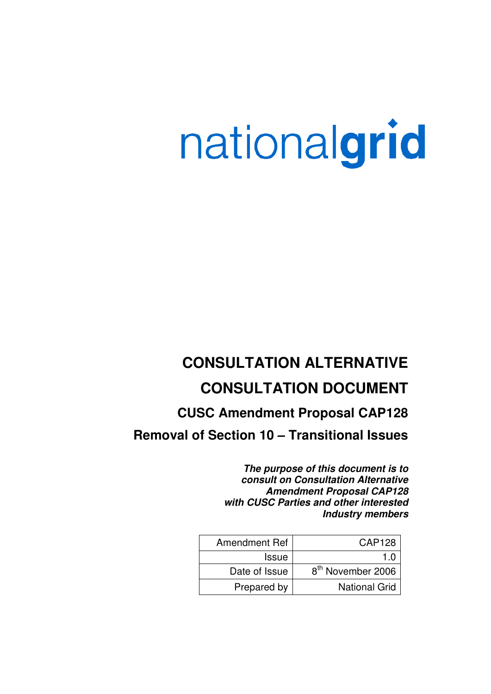# nationalgrid

## **CONSULTATION ALTERNATIVE CONSULTATION DOCUMENT**

## **CUSC Amendment Proposal CAP128**

## **Removal of Section 10 – Transitional Issues**

**The purpose of this document is to consult on Consultation Alternative Amendment Proposal CAP128 with CUSC Parties and other interested Industry members**

| Amendment Ref | CAP128                        |
|---------------|-------------------------------|
| <b>Issue</b>  | 1 ก                           |
| Date of Issue | 8 <sup>th</sup> November 2006 |
| Prepared by   | <b>National Grid</b>          |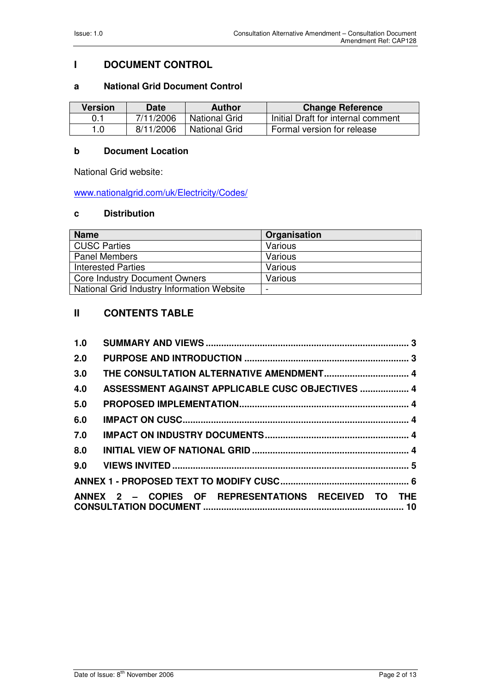#### **I DOCUMENT CONTROL**

#### **a National Grid Document Control**

| <b>Version</b> | <b>Date</b> | <b>Author</b>        | <b>Change Reference</b>            |
|----------------|-------------|----------------------|------------------------------------|
| 0.1            | 7/11/2006   | <b>National Grid</b> | Initial Draft for internal comment |
| 1.0            | 8/11/2006   | National Grid        | Formal version for release         |

#### **b Document Location**

National Grid website:

www.nationalgrid.com/uk/Electricity/Codes/

#### **c Distribution**

| <b>Name</b>                                | Organisation |
|--------------------------------------------|--------------|
| <b>CUSC Parties</b>                        | Various      |
| <b>Panel Members</b>                       | Various      |
| <b>Interested Parties</b>                  | Various      |
| <b>Core Industry Document Owners</b>       | Various      |
| National Grid Industry Information Website |              |

#### **II CONTENTS TABLE**

| 1.0 |                                                     |  |
|-----|-----------------------------------------------------|--|
| 2.0 |                                                     |  |
| 3.0 |                                                     |  |
| 4.0 | ASSESSMENT AGAINST APPLICABLE CUSC OBJECTIVES  4    |  |
| 5.0 |                                                     |  |
| 6.0 |                                                     |  |
| 7.0 |                                                     |  |
| 8.0 |                                                     |  |
|     |                                                     |  |
|     |                                                     |  |
|     | ANNEX 2 - COPIES OF REPRESENTATIONS RECEIVED TO THE |  |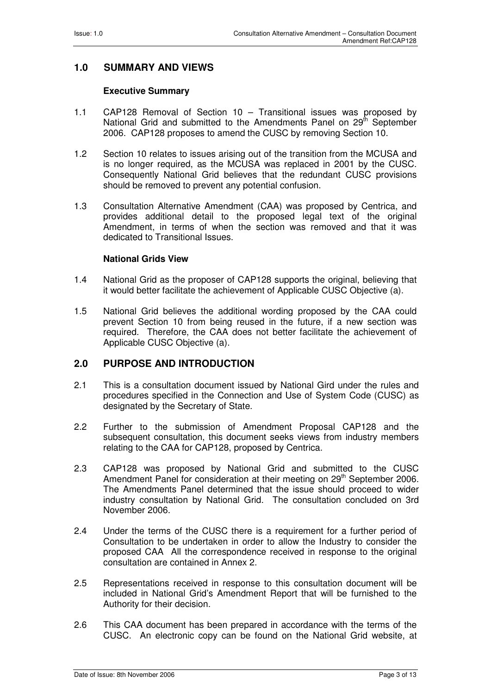#### **1.0 SUMMARY AND VIEWS**

#### **Executive Summary**

- 1.1 CAP128 Removal of Section 10 Transitional issues was proposed by National Grid and submitted to the Amendments Panel on 29<sup>th</sup> September 2006. CAP128 proposes to amend the CUSC by removing Section 10.
- 1.2 Section 10 relates to issues arising out of the transition from the MCUSA and is no longer required, as the MCUSA was replaced in 2001 by the CUSC. Consequently National Grid believes that the redundant CUSC provisions should be removed to prevent any potential confusion.
- 1.3 Consultation Alternative Amendment (CAA) was proposed by Centrica, and provides additional detail to the proposed legal text of the original Amendment, in terms of when the section was removed and that it was dedicated to Transitional Issues.

#### **National Grids View**

- 1.4 National Grid as the proposer of CAP128 supports the original, believing that it would better facilitate the achievement of Applicable CUSC Objective (a).
- 1.5 National Grid believes the additional wording proposed by the CAA could prevent Section 10 from being reused in the future, if a new section was required. Therefore, the CAA does not better facilitate the achievement of Applicable CUSC Objective (a).

#### **2.0 PURPOSE AND INTRODUCTION**

- 2.1 This is a consultation document issued by National Gird under the rules and procedures specified in the Connection and Use of System Code (CUSC) as designated by the Secretary of State.
- 2.2 Further to the submission of Amendment Proposal CAP128 and the subsequent consultation, this document seeks views from industry members relating to the CAA for CAP128, proposed by Centrica.
- 2.3 CAP128 was proposed by National Grid and submitted to the CUSC Amendment Panel for consideration at their meeting on 29<sup>th</sup> September 2006. The Amendments Panel determined that the issue should proceed to wider industry consultation by National Grid. The consultation concluded on 3rd November 2006.
- 2.4 Under the terms of the CUSC there is a requirement for a further period of Consultation to be undertaken in order to allow the Industry to consider the proposed CAA All the correspondence received in response to the original consultation are contained in Annex 2.
- 2.5 Representations received in response to this consultation document will be included in National Grid's Amendment Report that will be furnished to the Authority for their decision.
- 2.6 This CAA document has been prepared in accordance with the terms of the CUSC. An electronic copy can be found on the National Grid website, at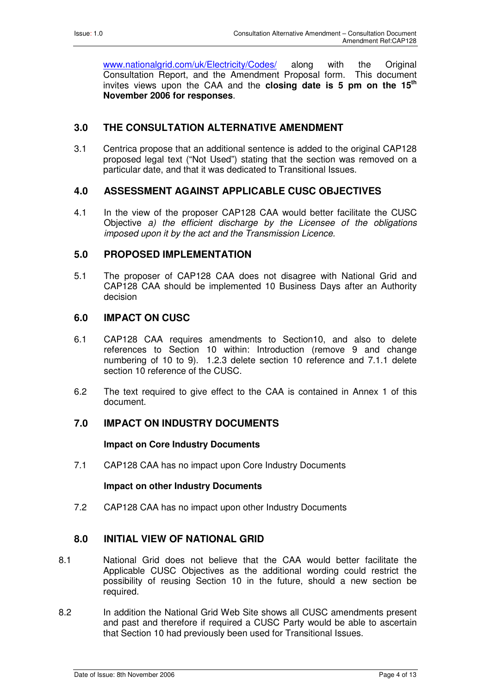www.nationalgrid.com/uk/Electricity/Codes/ along with the Original Consultation Report, and the Amendment Proposal form. This document invites views upon the CAA and the **closing date is 5 pm on the 15th November 2006 for responses**.

#### **3.0 THE CONSULTATION ALTERNATIVE AMENDMENT**

3.1 Centrica propose that an additional sentence is added to the original CAP128 proposed legal text ("Not Used") stating that the section was removed on a particular date, and that it was dedicated to Transitional Issues.

#### **4.0 ASSESSMENT AGAINST APPLICABLE CUSC OBJECTIVES**

4.1 In the view of the proposer CAP128 CAA would better facilitate the CUSC Objective a) the efficient discharge by the Licensee of the obligations imposed upon it by the act and the Transmission Licence.

#### **5.0 PROPOSED IMPLEMENTATION**

5.1 The proposer of CAP128 CAA does not disagree with National Grid and CAP128 CAA should be implemented 10 Business Days after an Authority decision

#### **6.0 IMPACT ON CUSC**

- 6.1 CAP128 CAA requires amendments to Section10, and also to delete references to Section 10 within: Introduction (remove 9 and change numbering of 10 to 9). 1.2.3 delete section 10 reference and 7.1.1 delete section 10 reference of the CUSC.
- 6.2 The text required to give effect to the CAA is contained in Annex 1 of this document.

#### **7.0 IMPACT ON INDUSTRY DOCUMENTS**

#### **Impact on Core Industry Documents**

7.1 CAP128 CAA has no impact upon Core Industry Documents

#### **Impact on other Industry Documents**

7.2 CAP128 CAA has no impact upon other Industry Documents

#### **8.0 INITIAL VIEW OF NATIONAL GRID**

- 8.1 National Grid does not believe that the CAA would better facilitate the Applicable CUSC Objectives as the additional wording could restrict the possibility of reusing Section 10 in the future, should a new section be required.
- 8.2 In addition the National Grid Web Site shows all CUSC amendments present and past and therefore if required a CUSC Party would be able to ascertain that Section 10 had previously been used for Transitional Issues.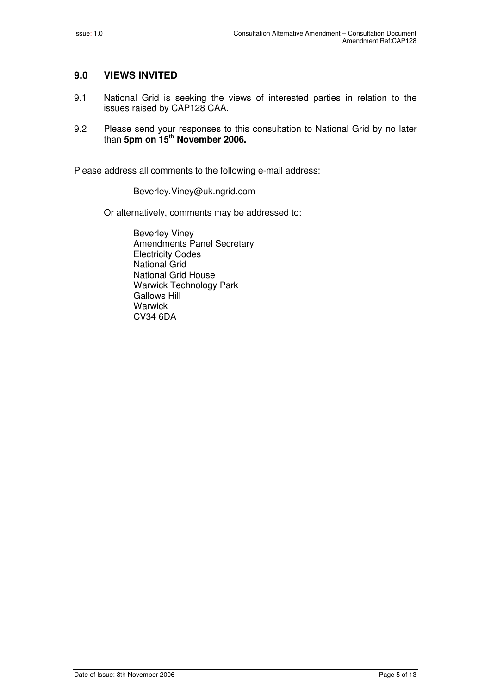#### **9.0 VIEWS INVITED**

- 9.1 National Grid is seeking the views of interested parties in relation to the issues raised by CAP128 CAA.
- 9.2 Please send your responses to this consultation to National Grid by no later than **5pm on 15th November 2006.**

Please address all comments to the following e-mail address:

Beverley.Viney@uk.ngrid.com

Or alternatively, comments may be addressed to:

Beverley Viney Amendments Panel Secretary Electricity Codes National Grid National Grid House Warwick Technology Park Gallows Hill **Warwick** CV34 6DA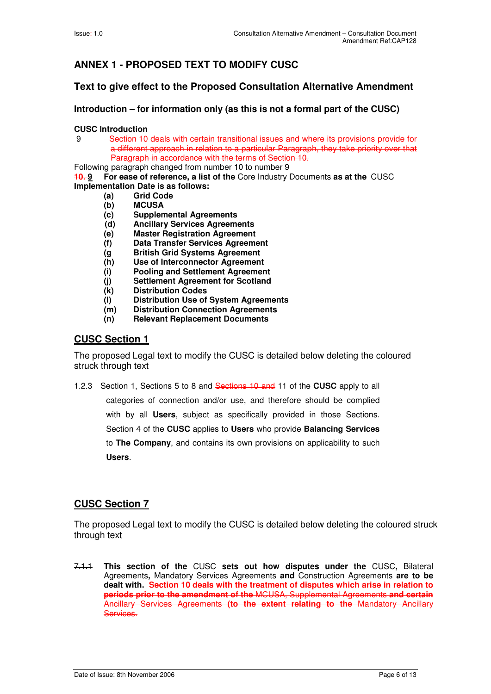### **ANNEX 1 - PROPOSED TEXT TO MODIFY CUSC**

#### **Text to give effect to the Proposed Consultation Alternative Amendment**

**Introduction – for information only (as this is not a formal part of the CUSC)** 

#### **CUSC Introduction**

-Section 10 deals with certain transitional issues and where its provisions provide for a different approach in relation to a particular Paragraph, they take priority over that Paragraph in accordance with the terms of Section 10.

Following paragraph changed from number 10 to number 9

**10. 9 For ease of reference, a list of the** Core Industry Documents **as at the** CUSC **Implementation Date is as follows:** 

- **(a) Grid Code**
- **(b) MCUSA**
- **(c) Supplemental Agreements**
- **(d) Ancillary Services Agreements**
- **(e) Master Registration Agreement**
- **(f) Data Transfer Services Agreement**
- **(g British Grid Systems Agreement**
- **(h) Use of Interconnector Agreement**
- **(i) Pooling and Settlement Agreement**
- **(j) Settlement Agreement for Scotland**
- **(k) Distribution Codes**
- **(l) Distribution Use of System Agreements**
- **(m) Distribution Connection Agreements**
- **(n) Relevant Replacement Documents**

#### **CUSC Section 1**

The proposed Legal text to modify the CUSC is detailed below deleting the coloured struck through text

1.2.3Section 1, Sections 5 to 8 and Sections 10 and 11 of the **CUSC** apply to all categories of connection and/or use, and therefore should be complied with by all **Users**, subject as specifically provided in those Sections. Section 4 of the **CUSC** applies to **Users** who provide **Balancing Services**  to **The Company**, and contains its own provisions on applicability to such **Users**.

#### **CUSC Section 7**

The proposed Legal text to modify the CUSC is detailed below deleting the coloured struck through text

7.1.1 **This section of the** CUSC **sets out how disputes under the** CUSC**,** Bilateral Agreements**,** Mandatory Services Agreements **and** Construction Agreements **are to be dealt with. Section 10 deals with the treatment of disputes which arise in relation to periods prior to the amendment of the** MCUSA, Supplemental Agreements **and certain**  Ancillary Services Agreements **(to the extent relating to the** Mandatory Ancillary Services.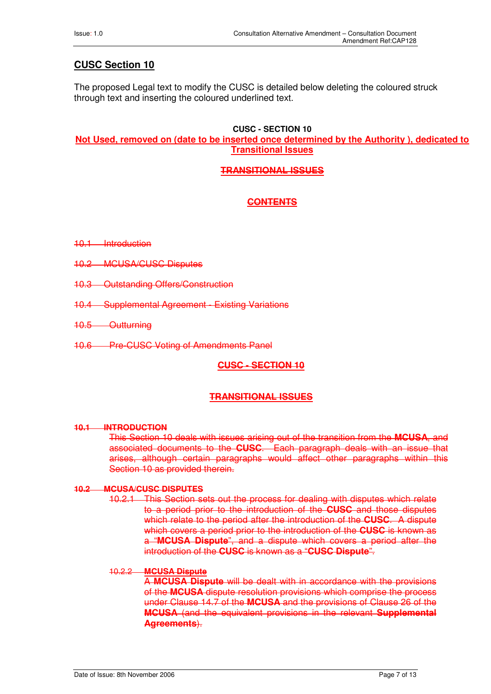#### **CUSC Section 10**

The proposed Legal text to modify the CUSC is detailed below deleting the coloured struck through text and inserting the coloured underlined text.

#### **CUSC - SECTION 10 Not Used, removed on (date to be inserted once determined by the Authority ), dedicated to Transitional Issues**

#### **TRANSITIONAL ISSUES**

#### **CONTENTS**

- 10.1 Introduction
- 10.2 MCUSA/CUSC Disputes
- 10.3 Outstanding Offers/Construction
- 10.4 Supplemental Agreement Existing Variations
- 10.5 Outturning
- 10.6 Pre-CUSC Voting of Amendments Panel

#### **CUSC - SECTION 10**

#### **TRANSITIONAL ISSUES**

#### **10.1 INTRODUCTION**

This Section 10 deals with issues arising out of the transition from the **MCUSA**, and associated documents to the **CUSC**. Each paragraph deals with an issue that arises, although certain paragraphs would affect other paragraphs within this Section 10 as provided therein.

#### **10.2 MCUSA/CUSC DISPUTES**

10.2.1 This Section sets out the process for dealing with disputes which relate to a period prior to the introduction of the **CUSC** and those disputes which relate to the period after the introduction of the **CUSC**. A dispute which covers a period prior to the introduction of the **CUSC** is known as a "**MCUSA Dispute**", and a dispute which covers a period after the introduction of the **CUSC** is known as a "**CUSC Dispute**".

#### 10.2.2 **MCUSA Dispute**

A **MCUSA Dispute** will be dealt with in accordance with the provisions of the **MCUSA** dispute resolution provisions which comprise the process under Clause 14.7 of the **MCUSA** and the provisions of Clause 26 of the **MCUSA** (and the equivalent provisions in the relevant **Supplemental Agreements**).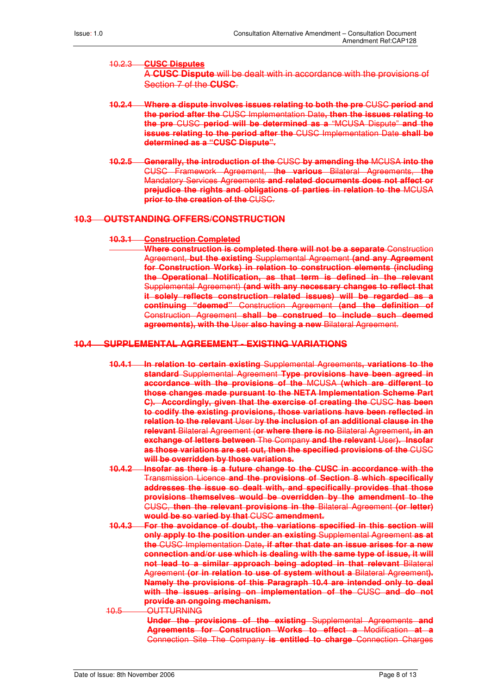#### 10.2.3 **CUSC Disputes**

A **CUSC Dispute** will be dealt with in accordance with the provisions of Section 7 of the **CUSC**.

- **10.2.4 Where a dispute involves issues relating to both the pre** CUSC **period and the period after the** CUSC Implementation Date**, then the issues relating to the pre** CUSC **period will be determined as a** "MCUSA Dispute" **and the issues relating to the period after the** CUSC Implementation Date **shall be determined as a "CUSC Dispute".**
- **10.2.5 Generally, the introduction of the** CUSC **by amending the** MCUSA **into the** CUSC Framework Agreement, t**he various** Bilateral Agreements, **the** Mandatory Services Agreements **and related documents does not affect or prejudice the rights and obligations of parties in relation to the** MCUSA **prior to the creation of the** CUSC.

#### **10.3 OUTSTANDING OFFERS/CONSTRUCTION**

#### **10.3.1 Construction Completed**

**Where construction is completed there will not be a separate** Construction Agreement, **but the existing** Supplemental Agreement **(and any Agreement for Construction Works) in relation to construction elements (including the Operational Notification, as that term is defined in the relevant**  Supplemental Agreement) **(and with any necessary changes to reflect that it solely reflects construction related issues) will be regarded as a continuing "deemed"** Construction Agreement **(and the definition of** Construction Agreement **shall be construed to include such deemed agreements), with the** User **also having a new** Bilateral Agreement.

#### **10.4 SUPPLEMENTAL AGREEMENT - EXISTING VARIATIONS**

- **10.4.1 In relation to certain existing** Supplemental Agreements**, variations to the standard** Supplemental Agreement **Type provisions have been agreed in accordance with the provisions of the** MCUSA **(which are different to those changes made pursuant to the NETA Implementation Scheme Part C). Accordingly, given that the exercise of creating the** CUSC **has been to codify the existing provisions, those variations have been reflected in relation to the relevant** User b**y the inclusion of an additional clause in the relevant** Bilateral Agreement (**or where there is no** Bilateral Agreement**, in an exchange of letters between** The Company **and the relevant** User**). Insofar as those variations are set out, then the specified provisions of the** CUSC **will be overridden by those variations.**
- **10.4.2 Insofar as there is a future change to the CUSC in accordance with the** Transmission Licence **and the provisions of Section 8 which specifically addresses the issue so dealt with, and specifically provides that those provisions themselves would be overridden by the amendment to the** CUSC, **then the relevant provisions in the** Bilateral Agreement **(or letter) would be so varied by that** CUSC **amendment.**
- **10.4.3 For the avoidance of doubt, the variations specified in this section will only apply to the position under an existing** Supplemental Agreement **as at the** CUSC Implementation Date**, if after that date an issue arises for a new connection and/or use which is dealing with the same type of issue, it will not lead to a similar approach being adopted in that relevant** Bilateral Agreement **(or in relation to use of system without a** Bilateral Agreement**). Namely the provisions of this Paragraph 10.4 are intended only to deal with the issues arising on implementation of the** CUSC **and do not provide an ongoing mechanism.**
- 10.5 OUTTURNING **Under the provisions of the existing** Supplemental Agreements **and Agreements for Construction Works to effect a** Modification **at a** Connection Site The Company **is entitled to charge** Connection Charges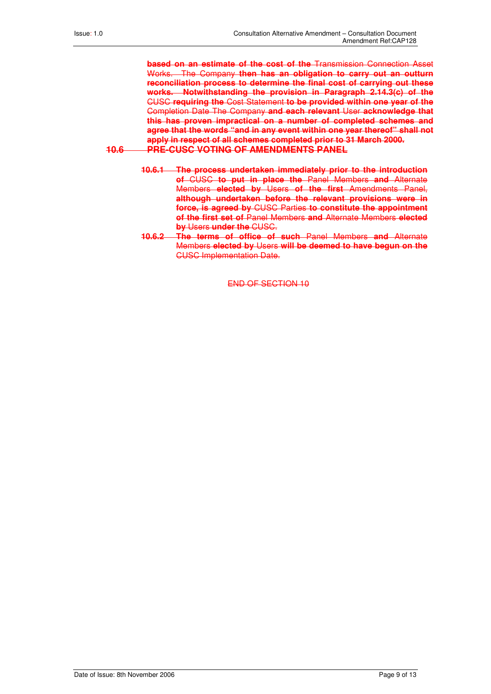**based on an estimate of the cost of the** Transmission Connection Asset Works. The Company **then has an obligation to carry out an outturn reconciliation process to determine the final cost of carrying out these works. Notwithstanding the provision in Paragraph 2.14.3(c) of the** CUSC **requiring the** Cost Statement **to be provided within one year of the** Completion Date The Company **and each relevant** User **acknowledge that this has proven impractical on a number of completed schemes and agree that the words "and in any event within one year thereof" shall not apply in respect of all schemes completed prior to 31 March 2000. 10.6 PRE-CUSC VOTING OF AMENDMENTS PANEL**

- **10.6.1 The process undertaken immediately prior to the introduction of** CUSC **to put in place the** Panel Members **and** Alternate Members **elected by** Users **of the first** Amendments Panel, **although undertaken before the relevant provisions were in force, is agreed by** CUSC Parties **to constitute the appointment of the first set of** Panel Members **and** Alternate Members **elected by** Users **under the** CUSC.
- **10.6.2 The terms of office of such** Panel Members **and** Alternate Members **elected by** Users **will be deemed to have begun on the** CUSC Implementation Date.

END OF SECTION 10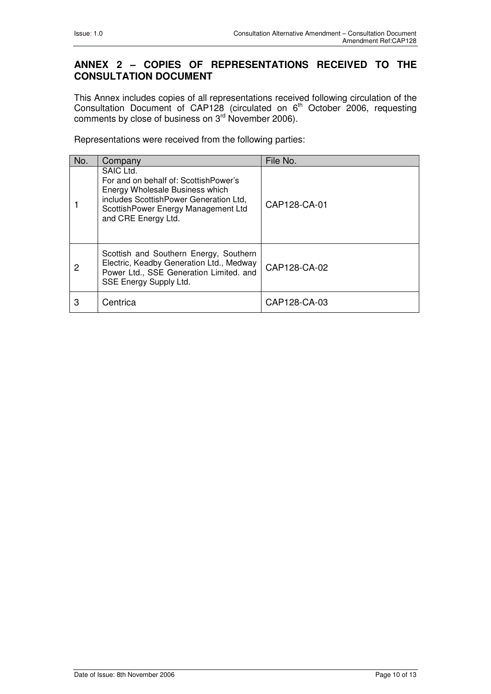#### **ANNEX 2 – COPIES OF REPRESENTATIONS RECEIVED TO THE CONSULTATION DOCUMENT**

This Annex includes copies of all representations received following circulation of the Consultation Document of CAP128 (circulated on  $6<sup>th</sup>$  October 2006, requesting comments by close of business on  $3<sup>rd</sup>$  November 2006).

Representations were received from the following parties:

| No. | Company                                                                                                                                                                                       | File No.     |
|-----|-----------------------------------------------------------------------------------------------------------------------------------------------------------------------------------------------|--------------|
|     | SAIC Ltd.<br>For and on behalf of: ScottishPower's<br>Energy Wholesale Business which<br>includes ScottishPower Generation Ltd,<br>ScottishPower Energy Management Ltd<br>and CRE Energy Ltd. | CAP128-CA-01 |
| 2   | Scottish and Southern Energy, Southern<br>Electric, Keadby Generation Ltd., Medway<br>Power Ltd., SSE Generation Limited. and<br>SSE Energy Supply Ltd.                                       | CAP128-CA-02 |
| 3   | Centrica                                                                                                                                                                                      | CAP128-CA-03 |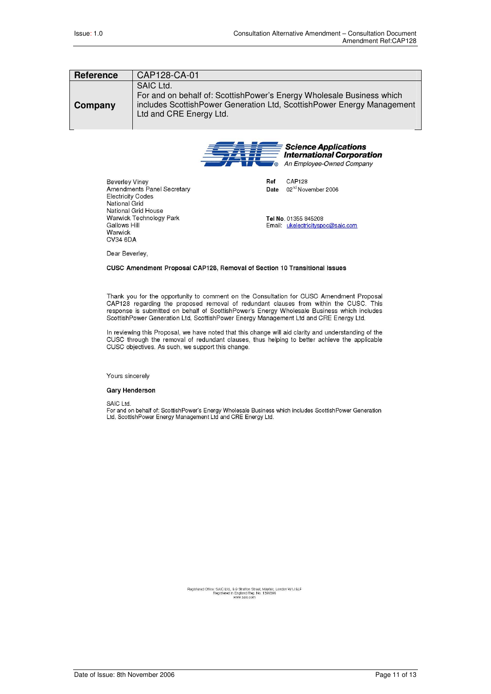| <b>Reference</b> | CAP128-CA-01                                                                                                                                                                            |
|------------------|-----------------------------------------------------------------------------------------------------------------------------------------------------------------------------------------|
| Company          | SAIC Ltd.<br>For and on behalf of: ScottishPower's Energy Wholesale Business which<br>includes ScottishPower Generation Ltd, ScottishPower Energy Management<br>Ltd and CRE Energy Ltd. |



Date

Ref **CAP128** 

02<sup>nd</sup> November 2006

Beverley Viney<br>Amendments Panel Secretary **Electricity Codes** National Grid National Grid House Warwick Technology Park Gallows Hill Warwick CV34 6DA

Tel No. 01355 845208 Email: ukelectricityspoc@saic.com

Dear Beverley,

#### CUSC Amendment Proposal CAP128, Removal of Section 10 Transitional Issues

Thank you for the opportunity to comment on the Consultation for CUSC Amendment Proposal CAP128 regarding the proposed removal of redundant clauses from within the CUSC. This response is submitted on behalf of ScottishPower's Energy Wholesale Business which includes ScottishPower Generation Ltd, ScottishPower Energy Management Ltd and CRE Energy Ltd.

In reviewing this Proposal, we have noted that this change will aid clarity and understanding of the CUSC through the removal of redundant clauses, thus helping to better achieve the applicable CUSC objectives. As such, we support this change.

Yours sincerely

#### **Gary Henderson**

SAIC Ltd.

on:<br>For and on behalf of: ScottishPower's Energy Wholesale Business which includes ScottishPower Generation<br>Ltd, ScottishPower Energy Management Ltd and CRE Energy Ltd.

Registered Office: SAIC Ltd., 8-9 Stratton Street, Mayfair, London W1J 8LF<br>Registered in England Reg. No. 1396396<br>www.saic.com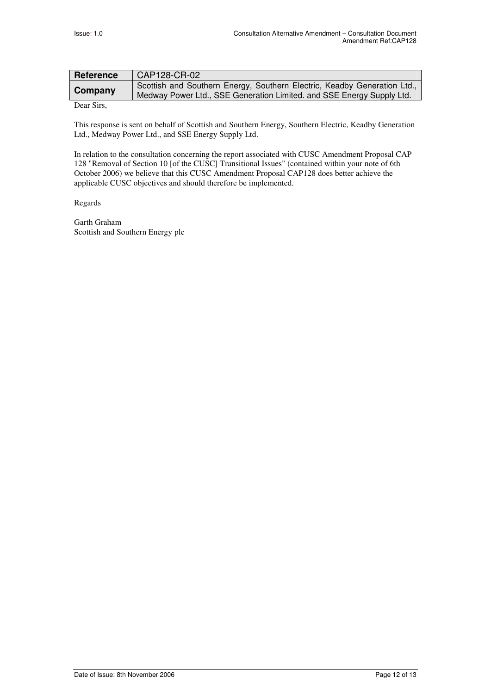| <b>Reference</b> | CAP128-CR-02                                                                                                                                      |
|------------------|---------------------------------------------------------------------------------------------------------------------------------------------------|
| Company          | Scottish and Southern Energy, Southern Electric, Keadby Generation Ltd.,<br>Medway Power Ltd., SSE Generation Limited. and SSE Energy Supply Ltd. |
|                  |                                                                                                                                                   |

Dear Sirs,

This response is sent on behalf of Scottish and Southern Energy, Southern Electric, Keadby Generation Ltd., Medway Power Ltd., and SSE Energy Supply Ltd.

In relation to the consultation concerning the report associated with CUSC Amendment Proposal CAP 128 "Removal of Section 10 [of the CUSC] Transitional Issues" (contained within your note of 6th October 2006) we believe that this CUSC Amendment Proposal CAP128 does better achieve the applicable CUSC objectives and should therefore be implemented.

Regards

Garth Graham Scottish and Southern Energy plc